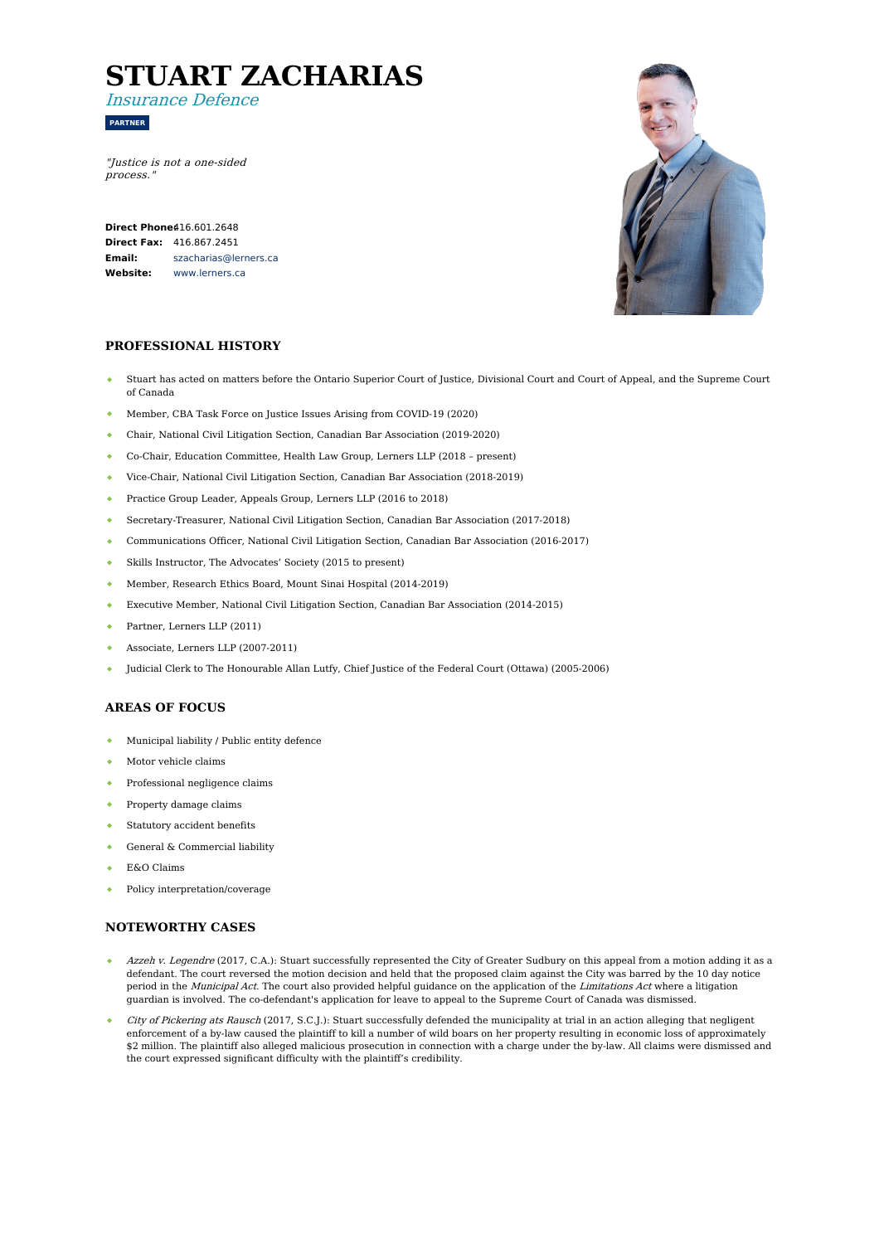# **STUART ZACHARIAS**

Insurance Defence

**PARTNER**

"Justice is not <sup>a</sup> one-sided process."

**Direct Phone** $416.601.2648$ **Direct Fax:** 416.867.2451 **Email: Website:** [szacharias@lerners.ca](mailto:szacharias@lerners.ca) [www.lerners.ca](https://www.lerners.ca/)



## **PROFESSIONAL HISTORY**

- Stuart has acted on matters before the Ontario Superior Court of Justice, Divisional Court and Court of Appeal, and the Supreme Court of Canada
- Member, CBA Task Force on Justice Issues Arising from COVID-19 (2020)
- ¥ Chair, National Civil Litigation Section, Canadian Bar Association (2019-2020)
- Co-Chair, Education Committee, Health Law Group, Lerners LLP (2018 present)
- Vice-Chair, National Civil Litigation Section, Canadian Bar Association (2018-2019)
- Practice Group Leader, Appeals Group, Lerners LLP (2016 to 2018)  $\Delta$  .
- Secretary-Treasurer, National Civil Litigation Section, Canadian Bar Association (2017-2018)
- Communications Officer, National Civil Litigation Section, Canadian Bar Association (2016-2017)  $\bullet$  .
- Skills Instructor, The Advocates' Society (2015 to present)
- $\bullet$  . Member, Research Ethics Board, Mount Sinai Hospital (2014-2019)
- Executive Member, National Civil Litigation Section, Canadian Bar Association (2014-2015)
- Partner, Lerners LLP (2011)
- Associate, Lerners LLP (2007-2011)
- Judicial Clerk to The Honourable Allan Lutfy, Chief Justice of the Federal Court (Ottawa) (2005-2006)

## **AREAS OF FOCUS**

- $\bullet$ Municipal liability / Public entity defence
- Motor vehicle claims
- Professional negligence claims
- Property damage claims
- Statutory accident benefits
- General & Commercial liability
- E&O Claims
- Policy interpretation/coverage  $\bullet$

#### **NOTEWORTHY CASES**

- Azzeh v. Legendre (2017, C.A.): Stuart successfully represented the City of Greater Sudbury on this appeal from a motion adding it as a defendant. The court reversed the motion decision and held that the proposed claim against the City was barred by the 10 day notice period in the Municipal Act. The court also provided helpful guidance on the application of the Limitations Act where a litigation guardian is involved. The co-defendant's application for leave to appeal to the Supreme Court of Canada was dismissed.
- City of Pickering ats Rausch (2017, S.C.J.): Stuart successfully defended the municipality at trial in an action alleging that negligent enforcement of a by-law caused the plaintiff to kill a number of wild boars on her property resulting in economic loss of approximately \$2 million. The plaintiff also alleged malicious prosecution in connection with a charge under the by-law. All claims were dismissed and the court expressed significant difficulty with the plaintiff's credibility.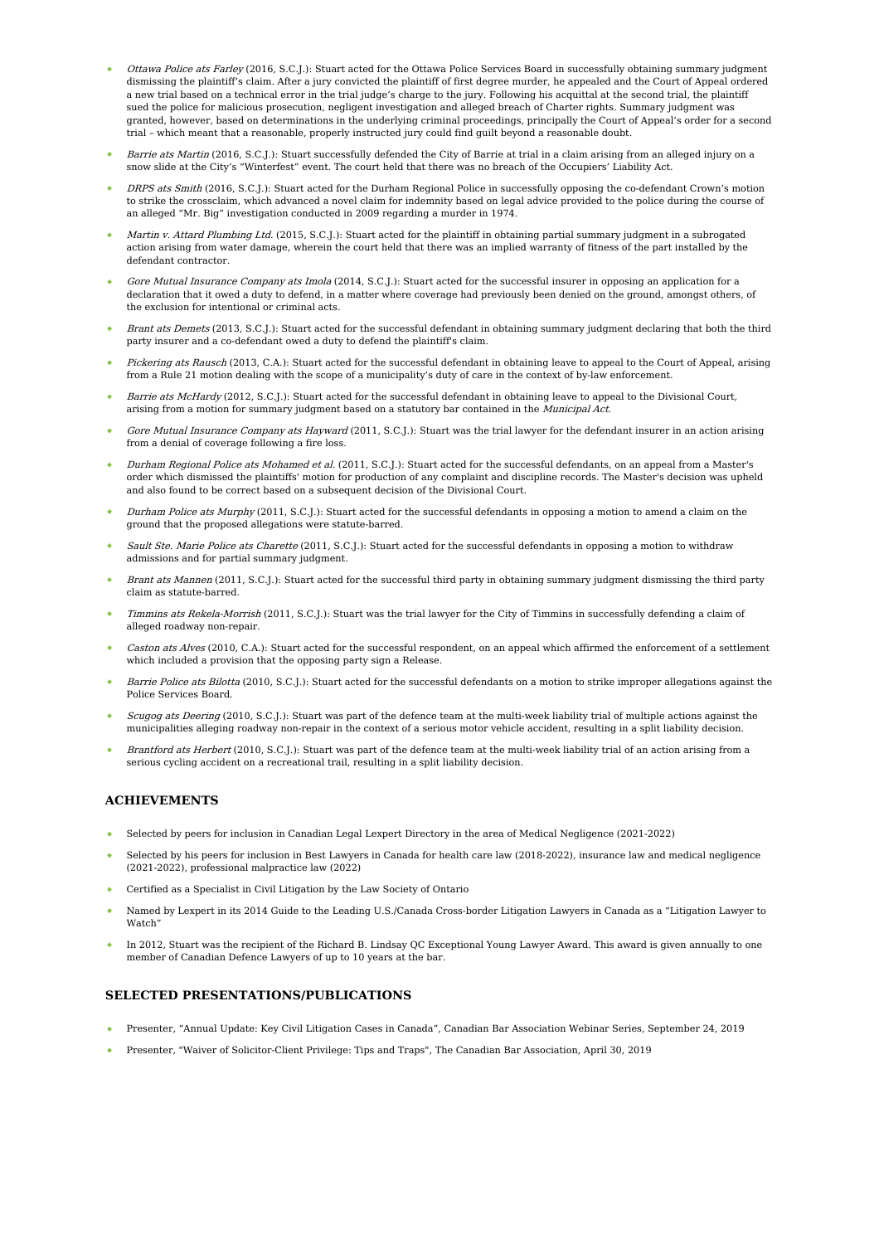- Ottawa Police ats Farley (2016, S.C.J.): Stuart acted for the Ottawa Police Services Board in successfully obtaining summary judgment dismissing the plaintiff's claim. After a jury convicted the plaintiff of first degree murder, he appealed and the Court of Appeal ordered a new trial based on a technical error in the trial judge's charge to the jury. Following his acquittal at the second trial, the plaintiff sued the police for malicious prosecution, negligent investigation and alleged breach of Charter rights. Summary judgment was granted, however, based on determinations in the underlying criminal proceedings, principally the Court of Appeal's order for a second trial – which meant that a reasonable, properly instructed jury could find guilt beyond a reasonable doubt.
- Barrie ats Martin (2016, S.C.J.): Stuart successfully defended the City of Barrie at trial in a claim arising from an alleged injury on a snow slide at the City's "Winterfest" event. The court held that there was no breach of the Occupiers' Liability Act.
- DRPS ats Smith (2016, S.C.J.): Stuart acted for the Durham Regional Police in successfully opposing the co-defendant Crown's motion to strike the crossclaim, which advanced a novel claim for indemnity based on legal advice provided to the police during the course of an alleged "Mr. Big" investigation conducted in 2009 regarding a murder in 1974.
- Martin v. Attard Plumbing Ltd. (2015, S.C.J.): Stuart acted for the plaintiff in obtaining partial summary judgment in a subrogated action arising from water damage, wherein the court held that there was an implied warranty of fitness of the part installed by the defendant contractor.
- Gore Mutual Insurance Company ats Imola (2014, S.C.J.): Stuart acted for the successful insurer in opposing an application for a declaration that it owed a duty to defend, in a matter where coverage had previously been denied on the ground, amongst others, of the exclusion for intentional or criminal acts.
- Brant ats Demets (2013, S.C.J.): Stuart acted for the successful defendant in obtaining summary judgment declaring that both the third party insurer and a co-defendant owed a duty to defend the plaintiff's claim.
- Pickering ats Rausch (2013, C.A.): Stuart acted for the successful defendant in obtaining leave to appeal to the Court of Appeal, arising from a Rule 21 motion dealing with the scope of a municipality's duty of care in the context of by-law enforcement.
- Barrie ats McHardy (2012, S.C.J.): Stuart acted for the successful defendant in obtaining leave to appeal to the Divisional Court, arising from a motion for summary judgment based on a statutory bar contained in the Municipal Act.
- Gore Mutual Insurance Company ats Hayward (2011, S.C.J.): Stuart was the trial lawyer for the defendant insurer in an action arising from a denial of coverage following a fire loss.
- Durham Regional Police ats Mohamed et al. (2011, S.C.J.): Stuart acted for the successful defendants, on an appeal from a Master's order which dismissed the plaintiffs' motion for production of any complaint and discipline records. The Master's decision was upheld and also found to be correct based on a subsequent decision of the Divisional Court.
- Durham Police ats Murphy (2011, S.C.J.): Stuart acted for the successful defendants in opposing a motion to amend a claim on the ground that the proposed allegations were statute-barred.
- Sault Ste. Marie Police ats Charette (2011, S.C.J.): Stuart acted for the successful defendants in opposing a motion to withdraw admissions and for partial summary judgment.
- Brant ats Mannen (2011, S.C.J.): Stuart acted for the successful third party in obtaining summary judgment dismissing the third party claim as statute-barred.
- Timmins ats Rekela-Morrish (2011, S.C.J.): Stuart was the trial lawyer for the City of Timmins in successfully defending a claim of alleged roadway non-repair.
- Caston ats Alves (2010, C.A.): Stuart acted for the successful respondent, on an appeal which affirmed the enforcement of a settlement which included a provision that the opposing party sign a Release.
- Barrie Police ats Bilotta (2010, S.C.J.): Stuart acted for the successful defendants on a motion to strike improper allegations against the Police Services Board.
- Scugog ats Deering (2010, S.C.J.): Stuart was part of the defence team at the multi-week liability trial of multiple actions against the municipalities alleging roadway non-repair in the context of a serious motor vehicle accident, resulting in a split liability decision.
- Brantford ats Herbert (2010, S.C.J.): Stuart was part of the defence team at the multi-week liability trial of an action arising from a serious cycling accident on a recreational trail, resulting in a split liability decision.

### **ACHIEVEMENTS**

- Selected by peers for inclusion in Canadian Legal Lexpert Directory in the area of Medical Negligence (2021-2022)
- Selected by his peers for inclusion in Best Lawyers in Canada for health care law (2018-2022), insurance law and medical negligence (2021-2022), professional malpractice law (2022)
- Certified as a Specialist in Civil Litigation by the Law Society of Ontario
- Named by Lexpert in its 2014 Guide to the Leading U.S./Canada Cross-border Litigation Lawyers in Canada as a "Litigation Lawyer to Watch"
- In 2012, Stuart was the recipient of the Richard B. Lindsay QC Exceptional Young Lawyer Award. This award is given annually to one member of Canadian Defence Lawyers of up to 10 years at the bar.

## **SELECTED PRESENTATIONS/PUBLICATIONS**

- Presenter, "Annual Update: Key Civil Litigation Cases in Canada", Canadian Bar Association Webinar Series, September 24, 2019
- Presenter, "Waiver of Solicitor-Client Privilege: Tips and Traps", The Canadian Bar Association, April 30, 2019